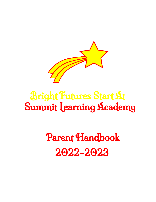

## Bright Futures Start At Summit Learning Academy

# Parent Handbook 2022-2023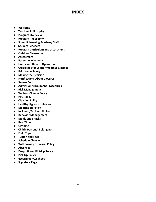## **INDEX**

- **● Welcome**
- **● Teaching Philosophy**
- **● Program Overview**
- **● Program Philosophy**
- **● Summit Learning Academy Staff**
- **● Student Teachers**
- **● Program Curriculum and assessment**
- **● Outdoor Classroom**
- **● Assessment**
- **● Parent Involvement**
- **● Hours and Days of Operation**
- **● Guidelines for Winter WEather Closings**
- **● Priority on Safety**
- **● Making the Decision**
- **● Notifications About Closures**
- **● Severe Cold**
- **● Admission/Enrollment Procedures**
- **● Risk Management**
- **● Wellness/Illness Policy**
- **● PPE Policy**
- **● Cleaning Policy**
- **● Healthy Hygiene Behavior**
- **● Medication Policy**
- **● Incident /Accident Policy**
- **● Behavior Management**
- **● Meals and Snacks**
- **● Rest Time**
- **● Clothing**
- **● Child's Personal Belongings**
- **● Field Trips**
- **● Tuition and Fees**
- **● Schedule Change**
- **● Withdrawal/Dismissal Policy**
- **● Absences**
- **● Drop-off and Pick-Up Policy**
- **● Pick Up Policy**
- **● eLearning PAQ Sheet**
- **● Signature Page**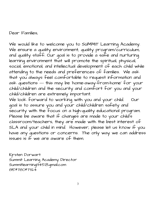Dear Families,

We would like to welcome you to SUMMIT Learning Academy. We ensure a quality environment, quality program/curriculum, and quality staff. Our goal is to provide a safe and nurturing learning environment that will promote the spiritual, physical, social, emotional, and intellectual development of each child while attending to the needs and preferences of families. We ask that you always feel comfortable to request information and ask questions --- this may be 'home-away-from-home' for your child/children and the security and comfort for you and your child/children are extremely important.

We look forward to working with you and your child. Our goal is to assure you and your child/children safety and security with the focus on a high-quality educational program. Please be aware that if changes are made to your child's classroom/teachers, they are made with the best interest of SLA and your child in mind. However, please let us know if you have any questions or concerns. The only way we can address issues is if we are aware of them.

Kjrsten Dorwart Summit Learning Academy Director Summitlearning1345@gmail.com 815\*780\*7324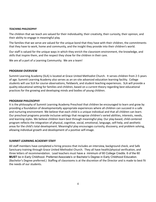#### *TEACHING PHILOSOPHY*

The children that we teach are valued for their individuality, their creativity, their curiosity, their opinion, and their ability to engage in meaningful play.

The families that we serve are valued for the unique bond that they have with their children, the commitments that they have to work, home and community, and the insight they provide into their children's world.

Our staff is valued for the unique ways in which they enrich the classroom environment, the knowledge, and skills that inspire them, and the respect they show for the children in their care.

We are all a part of a Learning Community. We are a team!

#### **PROGRAM OVERVIEW**

Summit Learning Academy (SLA) is located at Grace United Methodist Church. It serves children from 2-5 years of age. Summit Learning Academy also serves as an on-site advanced education learning facility. College students will use SLA for course observations, fieldwork, and student teaching experiences. SLA will provide a quality educational setting for families and children, based on a current theory regarding best educational practices for the growing and developing minds and bodies of young children.

#### **PROGRAM PHILOSOPHY**

It is the philosophy of Summit Learning Academy Preschool that children be encouraged to learn and grow by providing a foundation of developmentally appropriate experiences where all children can succeed in a safe and nurturing environment. We believe that each child is a unique individual and that all children can learn. Our preschool programs provide inclusive settings that recognize children's varied abilities, interests, needs, and learning styles. We believe children learn best through meaningful play. Our play-based, child-centered program reflects the integration of physical, cognitive, social, emotional, language, self-help, and aesthetic areas for the child's total development. Meaningful play encourages curiosity, discovery, and problem solving, allowing individual growth and development of a positive self-image.

#### **SUMMIT LEARNING ACADEMY STAFF**

All staff members have completed a hiring process that includes an interview, background check, and Safe Sanctuary training through Grace United Methodist Church. They all have health/physical verification, and three letters of recommendation. Lead teachers must have a minimum of 60 College Credits. 6 of the 60 **MUST** be in Early Childhood. Preferred Associate's or Bachelor's Degree in Early Childhood Education. (Bachelor's Degree preferred.) Staffing of classrooms is at the discretion of the Director and is made to best fit the needs of our students.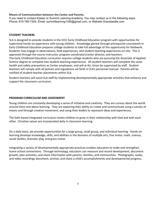#### **Means of Communication between the Center and Parents.**

If you need to contact Krjsten or Summit Learning Academy. You may contact us in the following ways: Phone: 815-780-7324, Email: summitlearning1345@gmail.com, or Website Gracelasalle.com

#### **STUDENT TEACHERS**

SLA is designed to provide students in the IVCC Early Childhood Education program with opportunities for supervised hands-on experience with young children. Knowledge gained through prerequisite coursework in Early Childhood Education prepares college students to take full advantage of this opportunity for fieldwork. Students may engage in observations, field experiences, and student teaching experiences on-site. This is approved through the course instructor, program coordinator/center director, and teachers. The Early Childhood Education curriculum requires college students who are pursuing the Associate of Applied Science degree to complete two student teaching experiences. All student teachers will complete the same health and safety precautions as Center employees, and will at ALL times be supervised by staff. Student teachers will comply with all policies and regulations set forth in SLA's personnel manual. Parents will be notified of student-teacher placements within SLA.

Student teachers will assist SLA staff by implementing developmentally appropriate activities that enhance and support the classroom curriculum.

#### **PROGRAM CURRICULUM AND ASSESSMENT**

Young children are constantly developing a sense of initiative and creativity. They are curious about the world around them and about learning. They are exploring their ability to create and communicate using a variety of means and through creative movement, and using their bodies to represent ideas and experiences.

The faith-based integrated curriculum invites children to grow in their relationship with God and with each other. Christian values are incorporated daily in classroom learning.

On a daily basis, we provide opportunities for a large group, small group, and individual learning. Hands-on learning develops knowledge, skills, and abilities in the domains of multiple arts, fine motor, math, science, social studies, dramatic play, and gross motor.

Integrating a variety of developmentally appropriate practices enables educators to make and strengthen home-school connections. Through technology, educators can measure and record development, document growth, plan activities, and share information with parents, families, and communities. Photographs, audio, and video recordings document, archive, and share a child's accomplishments and developmental progress.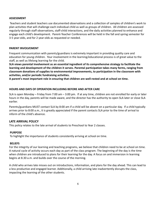#### **ASSESSMENT**

Teachers and student teachers use documented observations and a collection of samples of children's work to plan activities that will challenge each individual child as well as groups of children. All children are assessed regularly through staff observations, staff-child interactions, and the daily activities planned to enhance and engage each child's development. Parent-Teacher Conferences will be held in the fall and spring semester for 3-5 year-olds, and for 2 year-olds as requested or needed.

#### **PARENT INVOLVEMENT**

Frequent communication with parents/guardians is extremely important in providing quality care and education for young children. Your involvement in the learning/educational process is of great value to the staff, as well as lifelong learning for the child.

**SLA views parental involvement as an essential ingredient of its comprehensive strategy to facilitate the learning and development of the children it serves. Parental participation takes many forms, ranging from classroom donations of supplies to environmental improvements, to participation in the classroom with activities, and/or periodic fundraising activities.**

**A parent's most important role in ensuring that children are well-rested and at school on time.**

#### **HOURS AND DAYS OF OPERATION INCLUDING BEFORE AND AFTER CARE**

SLA is open Monday – Friday from 7:00 am – 3:00 pm. If at any time, children are not enrolled for early or later hours in the day, parents will be made aware, and the director has the authority to open SLA later or close SLA earlier.

Parents/guardians MUST contact SLA by 8:00 am if a child will be absent on a particular day. If a child typically arrives prior to 8:00 a.m., it is greatly appreciated if the parent contacts SLA prior to the time of arrival to inform of the child's absence.

#### **LATE ARRIVAL POLICY**

This policy relates to the late arrival of students to Preschool to Year 2 classes.

#### **PURPOSE**

To highlight the importance of students consistently arriving at school on time.

#### **BELIEFS**

For the integrity of our learning and teaching programs, we believe that children need to be at school on time. A natural cycle of activity occurs each day as part of the class program. The beginning of the day is the time when children are introduced to plans for their learning for the day. A focus on and immersion in learning begins at 8.30 a.m. and builds over the course of the morning.

A child who arrives late misses out on introductions, information, and plans for the day ahead. This can lead to a less productive and engaged learner. Additionally, a child arriving late inadvertently disrupts the class, impacting the learning of the other students.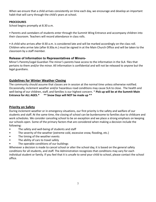When we ensure that a child arrives consistently on time each day, we encourage and develop an important habit that will carry through the child's years at school.

#### **PROCEDURES**

School begins promptly at 8.30 a.m.

• Parents and caretakers of students enter through the Summit Wing Entrance and accompany children into their classroom. Teachers will record attendance in class rolls.

• A child who arrives after 8:30 a.m. is considered late and will be marked accordingly on the class roll. Children who arrive late (after 8:30a.m.) must be signed in at the Main Church Office and will be taken to the classroom by a staff member.

#### **Release of Information to Representatives of Minors-**

Minor's Parents/Legal Guardian The minor's parents have access to the information in the SLA files that pertains to them and/or the minor. All information is confidential and will not be released to anyone but the legal guardians.

#### **Guidelines for Winter Weather Closing**

The community should assume that classes are in session at the normal time unless otherwise notified. Occasionally, inclement weather and/or hazardous road conditions may cause SLA to close. The health and well-being of our children, staff, and families is our highest concern. \* **Pick up will be at the Summit Main Entrance for ALL AGES.\* \*\* Snow Days will NOT be made up \*\***

#### **Priority on Safety**

During inclement weather or in emergency situations, our first priority is the safety and welfare of our students and staff. At the same time, the closing of school can be burdensome to families due to childcare and work schedules. We consider canceling school to be an exception and we place a strong emphasis on keeping our schools open. Some of the primary factors that are considered when making a decision include the following:

- The safety and well-being of students and staff
- The severity of the weather (extreme cold, excessive snow, flooding, etc.)
- The timing of the weather events
- The ability of cars to travel safely
- The operable conditions of our buildings

Whenever a decision is made to cancel school or alter the school day, it is based on the general safety conditions for all students, and staff. The Administration recognizes that conditions may vary for each individual student or family. If you feel that it is unsafe to send your child to school, please contact the school office.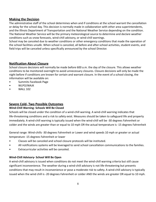#### **Making the Decision**

The administrative staff of the school determines when and if conditions at the school warrant the cancellation or delay for the school day. This decision is normally made in collaboration with other area superintendents, and the Illinois Department of Transportation and the National Weather Service depending on the condition. The National Weather Service will be the primary meteorological source to determine and declare weather conditions such as snow forecasts, wind-chill advisory, or wind-chill warnings.

School may be canceled due to weather conditions or other emergency conditions that made the operation of the school facilities unsafe. When school is canceled, all before and after-school activities, student events, and field trips will be canceled unless specifically announced by the school Director.

#### **Notification About Closure**

School closure decisions will normally be made before 600 a.m. the day of the closure. This allows weather conditions to be monitored overnight to avoid unnecessary closures. Closure decisions will only be made the night before if conditions are known for certain and warrant closure. In the event of a school closing, the information will be available on:

- Summits Facebook Page
- WLPO/WAJK
- WALL 102

#### **Severe Cold- Two Possible Outcomes**

#### **Wind-Chill Warning- Schools Will Be Closed**

Schools will be closed under the condition of a wind-chill warning. A wind-chill warning indicates that life-threatening conditions and a risk to safety exist. Measures should be taken to safeguard life and property immediately. A wind-chill warning is typically issued when the wind-chill will be -30 degrees Fahrenheit or colder and the winds are greater than or equal to 10 mph OR the actual temperature is -15 degrees Fahrenheit

General range: Wind-chills -30 degrees Fahrenheit or Lower and wind speeds 10 mph or greater or actual temperature -15 degrees Fahrenheit or lower

- Classes will be canceled and school closure protocols will be instituted.
- All notifications systems will be leveraged to send school cancellation communications to the families.
- Extracurricular activities will be canceled.

#### **Wind-Chill Advisory- School Will Be Open**

A wind-chill advisory is issued when conditions do not meet the wind-chill warning criteria but still cause significant inconvenience. The weather during a wind-chill advisory is not life-threatening but presents conditions that may result in inconvenience or pose a moderate risk to safety. A wind-chill advisory is typically issued when the wind chill is -20 degrees Fahrenheit or colder AND the winds are greater OR equal to 10 mph.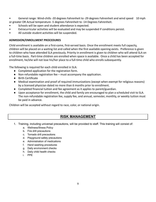- General range: Wind-chills -20 degrees Fahrenheit to -29 degrees Fahrenheit and wind speed 10 mph or greater OR Actual temperature -5 degrees Fahrenheit to -14 Degrees Fahrenheit.
- Schools will be open and student attendance is expected.
- Extracurricular activities will be evaluated and may be suspended if conditions persist.
- All outside student activities will be suspended.

#### **ADMISSION/ENROLLMENT PROCEDURES**

Child enrollment is available on a first-come, first-served basis. Once the enrollment meets full capacity, children will be placed on a waiting list and called when the first available opening exists. Preference is given to children who have attended SLA previously. Priority in enrollment is given to children who will attend SLA on a full-time basis. Part-time children are enrolled when space is available. Once a child has been accepted for enrollment, he/she will not lose his/her place to a full-time child who enrolls subsequently.

The following is required for each child enrolled in SLA:

- Completed application for the registration form.
- Non-refundable registration fee must accompany the application.
- Birth Certificate
- Medical examination and proof of required immunizations (except when exempt for religious reasons) by a licensed physician dated no more than 6 months prior to enrollment.
- Completed financial tuition and fee agreement as it applies to parent/guardian.
- Upon acceptance for enrollment, the child and family are encouraged to plan a scheduled visit to SLA. The non-refundable registration fee, supply fee, and annual, semester, monthly, or weekly tuition must be paid in advance.

Children will be accepted without regard to race, color, or national origin.

## **RISK MANAGEMENT**

- 1. Training, including universal precautions, will be provided to staff. This training will consist of:
	- a. Wellness/Illness Policy
	- b. Fire drill precautions
	- c. Tornado drill precautions
	- d. Playground safety precautions
	- e. Administration of medications
	- f. Hand washing procedures
	- g. Daily environment checks
	- h. Daily child health checks
	- i. PPE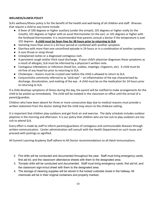#### **WELLNESS/ILLNESS POLICY**

SLA's wellness/illness policy is for the benefit of the health and well-being of all children and staff. Illnesses that require a child to stay home include:

- A fever of 100 degrees or higher auxiliary (under the armpit); 101 degrees or higher orally (in the mouth); 101 degrees or higher with an aural thermometer (in the ear). or 101 degrees or higher with the forehead thermometer. It is recommended that parents consult a doctor if the temperature is over 102 degrees. **A child must be fever-free for 48 hours prior to returning to SLA**.
- Vomiting more than once in a 24 hour period or combined with another symptom.
- Diarrhea with more than one unconfined episode in 24 hours or in a combination of another symptom.
- A sore throat or strep throat
- Unexplained rashes or a diagnosed contagious rash.
- A persistent cough and/or thick nasal discharge. If your child's physician diagnoses these symptoms as a result of allergies, SLA must be informed by a physician's written note.
- Contagious infestations or infections (head lice, scabies, impetigo, ringworm, etc). A child must be nit-free of any head lice prior to returning to SLA.
- Chickenpox lesions must be crusted over before the child is allowed to return to SLA.
- Conjunctivitis commonly referred to as "pink-eye" an inflammation of the eye characterized by discharge, discoloration, and matting of the eye. A child must be on the medication for 24 hours prior to returning to SLA.

If a child develops symptoms of illness during the day, the parent will be notified to make arrangements for the child to be picked up immediately. The child will be isolated in the classroom or office until the arrival of a parent/guardian.

Children who have been absent for three or more consecutive days due to medical reasons must provide a written statement from the doctor stating that the child may return to the childcare setting.

It is important that children play outdoors and get fresh air and exercise. The daily schedule includes outdoor playtime in the morning and afternoon. It is our policy that children who are too sick to play outdoors are too sick to attend SLA.

Every effort is made by staff to inform parents/guardians of contagious and communicable diseases through written communication. Center administration will consult with the Health Department on such issues and proceed with postings as signified.

All Summit Learning Academy Staff adhere to All Doctor recommendations to all Adult Immunizations.

- 2. Fire drills will be conducted and documented throughout the year. Staff must bring emergency cards, first aid kit, and the classroom attendance sheets with them to the designated area.
- 3. Tornado drills will be conducted and documented. Staff must bring emergency cards, first aid kit, and the classroom sign-in/out sheet with them to the designated area.
- 4. The storage of cleaning supplies will be stored in the locked custodial closet in the hallway. All chemicals will be in their original containers and properly marked.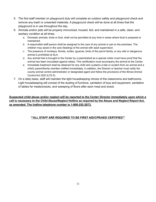- 5. The first staff member on playground duty will complete an outdoor safety and playground check and remove any trash or unwanted materials. A playground check will be done at all times that the playground is in use throughout the day.
- 6. Animals and/or pets will be properly immunized, housed, fed, and maintained in a safe, clean, and sanitary condition at all times.
	- a. Domestic animals, birds or fowl, shall not be permitted at any time in areas where food is prepared or maintained.
	- b. A responsible staff person shall be assigned to the care of any animal or pet on the premises. The children may assist in the care (feeding) of the animal with adult supervision.
	- c. The presence of monkeys, ferrets, turtles, iguanas, birds of the parrot family, or any wild or dangerous animal is prohibited at SLA.
	- d. Any animal that is brought to the Center by a parent/adult as a special visitor must have proof that the animal has been inoculated against rabies. This certification must accompany the animal to the Center.
	- e. Immediate treatment shall be obtained for any child who sustains a bite or scratch from an animal and a child's parent/family member notified immediately. In addition, the Director or teacher must notify the county animal control administrator or designated agent and follow the provisions of the Illinois Animal Control Act (520 ILCS 5).
- 7. On a daily basis, staff will maintain the light housekeeping chores of the classrooms and bathrooms. Light housekeeping will consist of the dusting of furniture, sanitation of toys and equipment, sanitation of tables for meals/snacks, and sweeping of floors after each meal and snack.

**Suspected child abuse and/or neglect will be reported to the Center Director immediately upon which a call is necessary to the Child Abuse/Neglect Hotline as required by the Abuse and Neglect Report Act, as amended. The hotline telephone number is 1-800-252-2873.**

#### **\*\*ALL STAFF ARE REQUIRED TO BE FIRST AID/CPR/AED CERTIFIED\*\***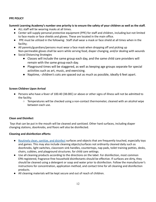#### **PPE POLICY**

#### **Summit Learning Academy's number one priority is to ensure the safety of your children as well as the staff.**

- ALL staff will be wearing masks at all times.
- Center will supply personal protective equipment (PPE) for staff and children, including but not limited to face masks or face shields and gloves. These are located in the main office.
- PPE must be utilized in the following: Staff shall wear a mask or face shield at all times when in the facility;
- All parents/guardians/persons must wear a face mask when dropping off and picking up Non-permeable gloves shall be worn while serving food, diaper changing, and/or dealing with wounds
- Social Distancing Strategies
	- Classes will include the same group each day, and the same child care providers will remain with the same group each day.
	- Playground times will be staggered, as well as keeping age groups separate for special activities such as art, music, and exercising.
	- Naptime,- children's cots are spaced out as much as possible, ideally 6 feet apart.

#### **Screen Children Upon Arrival**

- Persons who have a fever of 100.40 (38.00C) or above or other signs of illness will not be admitted to the facility.
	- Temperatures will be checked using a non-contact thermometer, cleaned with an alcohol wipe between each use.

#### **Clean and Disinfect**

Toys that can be put in the mouth will be cleaned and sanitized. Other hard surfaces, including diaper changing stations, doorknobs, and floors will also be disinfected.

#### **Cleaning and disinfection efforts:**

- [Routinely clean, sanitize, and disinfect](https://www.cdc.gov/coronavirus/2019-ncov/prepare/disinfecting-building-facility.html) surfaces and objects that are frequently touched, especially toys and games. This may also include cleaning objects/surfaces not ordinarily cleaned daily such as doorknobs, light switches, classroom sink handles, countertops, nap pads, toilet training potties, desks, chairs, cubbies, and playground structures. for child care settings.
- Use all cleaning products according to the directions on the label. For disinfection, most common EPA-registered, fragrance-free household disinfectants should be effective. If surfaces are dirty, they should be cleaned using a detergent or soap and water prior to disinfection. Follow the manufacturer's instructions for concentration, application method, and contact time for all cleaning and disinfection products.
- All cleaning materials will be kept secure and out of reach of children.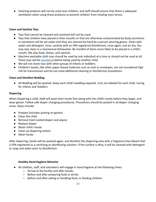● Cleaning products will not be used near children, and staff should ensure that there is adequate ventilation when using these products to prevent children from inhaling toxic fumes.

#### **Clean and Sanitize Toys**

- Toys that cannot be cleaned and sanitized will not be used.
- Toys that children have placed in their mouths or that are otherwise contaminated by body secretions or excretions will be set aside until they are cleaned by hand by a person wearing gloves. Clean with water and detergent, rinse, sanitize with an EPA-registered disinfectant, rinse again, and air-dry. You may also clean in a mechanical dishwasher. Be mindful of items more likely to be placed in a child's mouth, like play food, dishes, and utensils.
- Machine washable cloth toys should be used by one individual at a time or should not be used at all. These toys will be [laundered](https://www.cdc.gov/coronavirus/2019-ncov/daily-life-coping/children.html) before being used by another child.
- We will not share toys with other groups of infants or toddlers.
- Children's books, like other paper-based materials such as mail or envelopes, are not considered high risk for transmission and do not need additional cleaning or disinfection procedures.

#### **Clean and Disinfect Bedding**

● All Bedding will be washed. Keep each child's bedding separate. Cots are labeled for each child. Caring for Infants and Toddlers

#### **Diapering**

When Diapering a child, Staff will wash their hands first along with the child's hands before they begin, and wear gloves. Follow safe diaper changing procedures. Procedures should be posted in all diaper changing areas. Steps include:

- Prepare (includes putting on gloves)
- Clean the child
- Remove trash (soiled diaper and wipes)
- Replace diaper
- Wash child's hands
- Clean up diapering station
- Wash hands

After diapering, hands will be washed again, and disinfect the diapering area with a fragrance-free bleach that is EPA-registered as a sanitizing or disinfecting solution. If the surface is dirty, it will be cleaned with detergent or soap and water prior to disinfection.

#### **Healthy Hand Hygiene Behavior**

- All children, staff, and volunteers will engage in hand hygiene at the following times:
	- Arrival at the facility and after breaks
	- Before and after preparing food or drinks
	- Before and after eating or handling food, or feeding children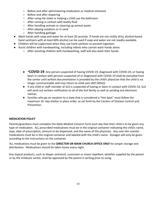- Before and after administering medication or medical ointment
- Before and after diapering
- After using the toilet or helping a child use the bathroom
- After coming in contact with bodily fluid
- After handling animals or cleaning up animal waste
- After playing outdoors or in sand
- After handling garbage
- Wash hands with soap and water for at least 20 seconds. If hands are not visibly dirty, alcohol-based hand sanitizers with at least 60% alcohol can be used if soap and water are not readily available.
- Children will be supervised when they use hand sanitizer to prevent ingestion.
- Assist children with handwashing, including infants who cannot wash hands alone.
	- After assisting children with handwashing, staff will also wash their hands.
	- **\*COVID-19-** Any person suspected of having COVID-19, diagnosed with COVID-19, or having been in contact with persons suspected of or diagnosed with COVID-19 shall be excluded from the center until written documentation is provided by the child's physician that the child is no longer communicable and may return to child care (407.605(i))
	- If any child or staff member at SLA is suspected of having or been in contact with COVID-19, SLA will send out written notification to all of the SLA family as well as sending out electronic notices.
	- Families who go on vacation to a state that is considered a "Hot Spot'' must follow the maximum 10 -day shelter in place order, as set forth by the Centers of Disease Control and Prevention.

#### **MEDICATION POLICY**

Parents/guardians must complete the *Daily Medical Consent Form* each day that their child is to be given any type of medication. ALL *prescribed* medications must be in the original container indicating the child's name, type, date of prescription, amount to be dispensed, and the name of the physician. Any *over-the-counter* medications must be in the original container and labeled with the child's name. Dosages will only be given according to the instructions on the container.

ALL medications must be given to the **DIRECTOR OR MAIN CHURCH OFFICE ONLY** for proper storage and distribution. Medications should be taken home every night.

Any topical products, such as diaper ointment, sunscreen or insect repellant, whether supplied by the parent or by the childcare center, shall be approved by the parent in writing prior to using.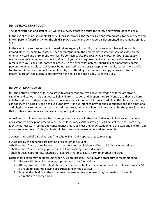#### **INCIDENT/ACCIDENT POLICY**

The administration and staff at SLA will make every effort to ensure the safety and welfare of each child.

In the event of minor incidents (slight cut, bruise, scrape), the staff will attend immediately to the incident and inform parents/guardians when the child is picked up. An incident report is documented and remains on file at SLA.

In the event of a serious accident or medical emergency for a child, the parent/guardian will be notified immediately. If unable to contact either parent/guardian, the emergency contact person indicated on the emergency card and enrollment form will be contacted. *For this reason, it is important that emergency telephone numbers and contacts are updated.* If your child requires medical attention, a staff member will remain with your child until someone arrives. In the event that parents/guardians or emergency contact persons are unavailable, the child may be transported to the closest hospital for medical assessment and/or treatment. An accident report is completed by the attending staff member, a copy is provided to the parent/guardian, and a copy is placed within the child's file and a copy is sent to DCFS.

#### **BEHAVIOR MANAGEMENT**

It is the nature of young children to strive toward autonomy. We know that young children are strong, capable, and curious. It is our goal to help children broaden and deepen their self-control, so they are better able to work both independently and in collaboration with other children and adults in the classroom so they can satisfy their curiosity and achieve autonomy. It is our intent to provide the experiences and the emotional and physical environment that rewards and supports growth in self-control. We recognize the powerful effect that positive consequences can have in supporting desirable behavior.

A positive discipline program is best accomplished by keying in the good behavior of children and by being consistent with discipline procedures**.** The children may assist in setting rules/limits of the classroom they identify as necessary. Limits and consequences must be clear and understandable to the staff and children and consistently enforced. Rules/limits should be observable, reasonable, and enforceable.

SLA uses the Soul of Discipline and The Whole-Brain Child approaches to teaching.

SLA abides by the general classification of rules/limits as such:

--shall not hurt/harm, or make any such attempts to other children, self or staff (this includes biting.)

--shall not hurt/harm/damage property of SLA or property of an individual

--shall not use inappropriate language or gestures that may cause harm to another individual

Disciplinary action may be necessary when rules are broken. The following procedure is recommended:

- 1. Discuss with the child the inappropriateness of his/her actions;
- 2. Attempt to redirect the child's behavior to an acceptable activity and remind the child as to why he/she is unable to continue playing or participating in the activity;
- 3. Remove the child from the activity/center area -- time to oneself may be needed or a simple redirection to another area.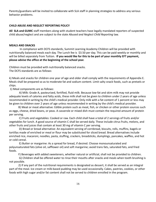Parents/guardians will be invited to collaborate with SLA staff in planning strategies to address any serious behavior problems.

#### **CHILD ABUSE AND NEGLECT REPORTING POLICY**

**All SLA and GUMC** staff members along with student teachers have legally mandated reporters of suspected child abuse/neglect and are subject to the state *Abused and Neglect Child Reporting* law.

#### **MEALS AND SNACKS**

In compliance with DCFS standards, Summit Learning Academy Children will be provided with nutritionally balanced meals each day. The Lunch fee is \$3.50 per day. This can be paid weekly or monthly and will be billed separately from Tuition. **If you would like for this to be part of your monthly EFT payment, please advise the office at the beginning of the school year.**

Children must be provided with nutritionally balanced snacks. The DCFS standards are as follows:

k) Meals and snacks for children one year of age and older shall comply with the requirements of Appendix E. Meals shall be prepared so as to moderate fat and sodium content. Limit salty snack foods, such as pretzels or chips.

1) Meal components are as follows:

A) Milk: Grade A, pasteurized, fortified, fluid milk. Because low-fat and skim milk may not provide adequate levels of calories and fatty acids, these milk shall not be given to children under 2 years of age unless recommended in writing by the child's medical provider. Only milk with a fat content of 1 percent or less may be given to children over 2 years of age unless recommended in writing by the child's medical provider.

B) Meat or meat alternative: Edible protein such as meat, fish, or chicken or other protein sources such as eggs, cheese, dried beans, or peas. A casserole or mixed dish must contain the required amount of protein per serving.

C) Fruits and vegetables: Cooked or raw. Each child shall have a total of 2 servings of fruits and/or vegetables for lunch. A good source of vitamin C shall be served daily. These include citrus fruits, melons, and other fruits and juices that contain at least 30 mg of vitamin C per serving.

D) Bread or bread alternative: An equivalent serving of cornbread, biscuits, rolls, muffins, bagels or tortillas made of enriched or meal or flour may be substituted for sliced bread. Bread alternatives include enriched rice, macaroni, noodles, pasta, stuffing, crackers, breadsticks, dumplings, pancakes, waffles, and hot or cold cereal.

E) Butter or margarine: As a spread for bread, if desired. Choose monounsaturated and polyunsaturated fats (olive oil, safflower oil) and soft margarine; avoid trans fats, saturated fats, and fried foods.

F) Beverages with added sweeteners, whether natural or artificial, shall not be provided to children.

G) Children shall be offered water to rinse their mouths after snacks and meals when tooth brushing is not possible.

2) If any part of the nutritional requirements is designated as dessert, it shall be served as an integral part of the meal. Ice cream or milk-based pudding may be used occasionally. Cakes, pastries, cookies, or other foods with high sugar and/or fat content shall not be served to children enrolled in the program.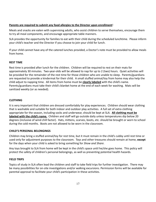#### **Parents are required to submit any food allergies to the Director upon enrollment**!

Meals and snacks are eaten with supervising adults, who assist children to serve themselves, encourage them to try all meal components, and encourage appropriate table manners.

SLA provides the opportunity for families to eat with their child during the scheduled lunchtime. Please inform your child's teacher and the Director if you choose to join your child for lunch.

If your child cannot have any of the catered lunches provided, a Doctor's note must be provided to allow meals from home.

#### **REST TIME**

Rest time is provided after lunch for the children. Children will be required to rest on their mats for approximately 30 minutes. Two-year-olds will be allowed to nap for up to 2 (two) hours. Quiet activities will be provided for the remainder of the rest time for those children who are unable to sleep. Parents/guardians are requested to provide a kindermat for their child. A small stuffed animal/toy from home may also help the child adjust to napping time. All items from home must be **clearly labeled** with the child's name. Parents/guardians must take their child's blanket home at the end of each week for washing. Mats will be sanitized weekly (or as needed).

#### **CLOTHING**

It is very important that children are dressed comfortably for play experiences. Children should wear clothing that is washable and suitable for both indoor and outdoor play activities. A full set of extra clothing appropriate for the season, including socks and underwear, should be kept at SLA. **All clothing must be labeled with the child's name.** Children and staff will go outside daily unless temperatures dip below 20 degrees (inclusive of wind chill factor). Hats, mittens, scarves, boots, etc. should be brought or worn to school during the cold months. Boots are not allowed to be worn in the classroom.

#### **CHILD'S PERSONAL BELONGINGS**

Children may bring a stuffed animal/toy for rest time, but it must remain in the child's cubby until rest time or used only for adjustment purposes to the classroom. Toys and other treasures should remain at home, **except** for the days when your child is asked to bring something for *Show and Share*.

Any toys brought to SLA from home will be kept in the child's space until he/she goes home. This policy will protect the safety of children's personal belongings, as well as preventing potential health hazards.

#### **FIELD TRIPS**

Topics of study in SLA often lead the children and staff to take field trips for further investigation. There may be many possibilities for on-site investigations and/or walking excursions. Permission forms will be available for parental approval to facilitate your child's participation in these activities.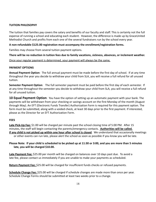#### **TUITION PHILOSOPHY**

The tuition that families pay covers the salary and benefits of our faculty and staff. This is certainly not the full expense of running a school and educating each student. However, the difference is made up by GraceUnited Methodist Church and profits from each one of the several fundraisers run by the school every year.

#### **A non-refundable \$125.00 registration must accompany the enrollment/registration forms.**

Families may choose from several tuition payment options.

**There will be no reduction in tuition fees due to family vacations, sickness, absences, or inclement weather.**

Once your regular payment is determined, your payment will always be the same,

#### **PAYMENT OPTIONS**

**Annual Payment Option**: The full annual payment must be made before the first day of school. If at any time throughout the year you decide to withdraw your child from SLA, you will receive a full refund for all unused tuition.

**Semester Payment Option**: The full semester payment must be paid before the first day of each semester. If at any time throughout the semester you decide to withdraw your child from SLA, you will receive a full refund for all unused tuition.

**10 Equal Payment Option**: You have the option of setting up an automatic payment with your bank. The payments will be withdrawn from your checking or savings account on the first Monday of the month (August through May). An EFT (Electronic Funds Transfer) Authorization Form is required for this payment option. The form must be submitted, along with a voided check, at least 30 days prior to the first payment. If interested, please as the Director for an EFT Authorization Form.

#### **FEES**

**Late Pick-Up Fee:** \$1.00 will be charged per minute past the school closing time of 5:00 PM. After 15 minutes, the staff will begin contacting the parents/emergency contacts. **Authorities will be called. If any child is not picked up within one hour after school is closed**. We understand that occasionally meetings or other events can run late, please alert the school as soon as possible if you know you will be late.

#### **Please Note: If your child is scheduled to be picked up at 11:30 or 3:00, and you are more than 5 minutes late, you will be charged \$10.00.**

**Late Payment Fee:** \$25.00 per month will be charged on balances over 10 days past due. To avoid a late fee, please contact us immediately if you are unable to make your payments as scheduled.

**Return Payment Fee:** \$25.00 will be charged for insufficient funds checks or refused payments.

**Schedule Change Fee:** \$25.00 will be charged if schedule changes are made more than once per year. Schedule Change Forms should be submitted at least two weeks prior to a change.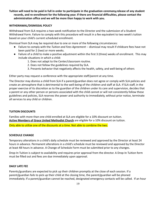**Tuition will need to be paid in full in order to participate in the graduation ceremony,release of any student records, and re-enrollment for the following year. If there are financial difficulties, please contact the administration office and we will be more than happy to work with you.**

#### **WITHDRAWAL/DISMISSAL POLICY**

Withdrawal from SLA requires a two-week notification to the Director and the submission of a Student Withdrawal Form. Failure to comply with this procedure will result in a fee equivalent to two week's tuition based on your child's current scheduled enrollment.

Dismissal from SLA may be required due to one or more of the following circumstances:

- Failure to comply with the *Tuition and Fees Agreement* -- dismissal may result if childcare fees have not been paid for 2 (two) or more weeks.
- Failure of a child to make a positive adjustment within the first 3 (three) weeks of enrollment. This may include situations in which a child:
	- 1. Does not adapt to the Center/classroom routine.
	- 2. Does not follow the guidelines required by SLA.
	- 3. Presents behavior that negatively affects the health, safety, and well-being of others

Either party may request a conference with the appropriate staff/parent at any time.

The Director may dismiss a child from SLA if a parent/guardian does not agree or comply with SLA policies and create an atmosphere that is detrimental to the well-being of the children and staff at SLA. If SLA staff, in the proper exercise of its discretion as to the guardian of the children under its care and supervision, decides that a parent or any other person or persons associated with the child cannot or will not consistently follow these guidelines and policies, SLA reserves the power and authority to immediately, without prior notice, terminate all services to any child or children.

#### **TUITION DISCOUNTS**

Families with more than one child enrolled at SLA are eligible for a 10% discount on tuition. **Active Members of Grace United Methodist Church** are eligible for a 10% discount on tuition.

Only able to utilize one of the discounts at a time. Not able to combine the two.

#### **SCHEDULE CHANGE**

Temporary alterations in a child's daily schedule must be reviewed and approved by the Director at least 24 hours in advance. Permanent alterations in a child's schedule must be reviewed and approved by the Director at least 48 hours in advance. A Change of Schedule Form must be submitted prior to any changes.

Drop-In Tuition is subject to availability and requires prior approval from the director. A Drop-In Tuition form must be filled out and fees are due immediately upon approval.

#### **DAILY LATE FEE**

Parents/guardians are expected to pick up their children promptly at the close of each session. If a parent/guardian fails to pick up their child at the closing time, the parent/guardian will be phoned immediately. If a parent/guardian cannot be reached, designated emergency contacts will be called. If an hour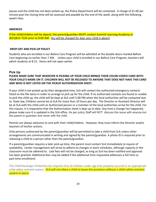passes and the child has not been picked up, the Police Department will be contacted. A charge of \$1.00 per minute past the closing time will be assessed and payable by the end of the week, along with the following week's fees.

#### **ABSENCES**

If the child/children will be absent, the parent/guardian MUST contact Summit Learning Academy at (815)815-7324 prior to 8:00 AM. You will be charged for days your child is absent.

#### **DROP-OFF AND PICK-UP POLICY**

Students who are enrolled in our Before Care Program will be admitted at the double doors marked Before Care beginning no earlier than 7 AM. Unless your child is enrolled in our Before Care Program, teachers will admit students at 8:15. Doors will not open earlier.

#### **Pick Up**

#### **PLEASE MAKE SURE THAT WHOEVER IS PICKING UP YOUR CHILD BRINGS THEIR COLOR-CODED CARD WITH YOUR CHILD'S NAME ON IT. CHILDREN WILL NOT BE RELEASED TO ANYONE THAT DOES NOT HAVE THIS CARD AND WHO IS NOT LISTED ON THE PICKUP AUTHORISATION SHEET.**

If your child is not picked up by their designated time, SLA will contact the authorized emergency contacts listed on the file twice in order to arrange to pick up for the child. If no authorized contacts are found or unable to pick the child up, the child will be kept at SLA until 5:00 PM when the local authorities will be contacted due to State law, Children cannot be at SLA for more than 10 hours per day. The Director or Assistant Director will be at SLA with the child until an Authorised person or a member of the local authorities arrive for the child. For this reason, it is imperative that the Authorisation sheet is kept up to date. Any time a change has happened, please make sure it is updated in the SLA office. As per policy Staff will NOT discuss this issue with anyone but the parent or guardian and never with the child.

Parents are always welcome to visit with their child/children. However, they must inform the Director and/or teachers of his/her actions.

Only persons authorized by the parent/guardian will be permitted to take a child from SLA unless other arrangements are communicated in writing and signed by the parent/guardian. A photo ID is required prior to releasing a child to a person other than the parent/guardian.

If a parent/guardian requires a later pick-up time, the parent must contact SLA immediately to inquire of availability. Center management will strive to adhere to changes in work schedules, although capacity in the classroom must be adhered to. Late fees will not be charged, as long as SLA has been notified and approval has been granted. Additional fees may be added if the additional time requested addresses a full time vs. part-time enrollment.

The Child Passenger Protection Act requires that all children under age 8 be properly secured in an appropriate child safety restraint system. **SLA will not allow a child to leave the premises without a child safety restraint system in place.**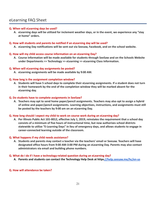## eLearning FAQ Sheet

#### **Q. When will eLearning days be used?**

**A. eLearning days will be utilized for inclement weather days, or in the event, we experience any "stay at home" orders.**

#### **Q. How will students and parents be notified if an eLearning day will be used?**

**A. eLearning Day notifications will be sent out via Seesaw, Facebook, and on the school website.**

#### **Q. How will my child access course information on an eLearning Day?**

**A. Course information will be made available for students through SeeSaw and on the Schools Website under Departments >> Technology >> eLearning >> eLearning Class Information.**

#### **Q. When will eLearning day assignments be posted?**

**A. eLearning assignments will be made available by 9:00 AM.**

#### **Q. How long is the assignment completion window?**

**A. Students will have 5 school days to complete their eLearning assignments. If a student does not turn in their homework by the end of the completion window they will be marked absent for the eLearning day.**

#### **Q. Do students have to complete assignments in SeeSaw?**

**A. Teachers may opt to send home paper/pencil assignments. Teachers may also opt to assign a hybrid of online and paper/pencil assignments. Learning objectives, instructions, and assignments must still be posted by the teachers by 9:00 am on an eLearning Day.**

#### **Q. How long should I expect my child to work on course work during an eLearning day?**

**A. Per Illinois Public Act 101-0012, effective July 1, 2019, reinstates the requirement that a school day consists of a minimum of five hours of instructional time, but now authorizes school districts statewide to utilize "E-Learning Days" in lieu of emergency days, and allows students to engage in career-connected learning outside of the classroom.**

#### **Q. What happens if my child needs assistance?**

**A. Students and parents may contact a teacher via the teachers' email or Seesaw. Teachers will have designated office hours from 9:00 AM-3:00 PM during an eLearning Day. Parents may also contact administrators via email and building phone numbers.**

#### **Q. What do I do if I have a technology-related question during an eLearning day?**

**A. Parents and students can contact the Technology Help Desk at http[s://help.seesaw.me/hc/en-us](https://help.seesaw.me/hc/en-us)**

#### **Q. How will attendance be taken?**